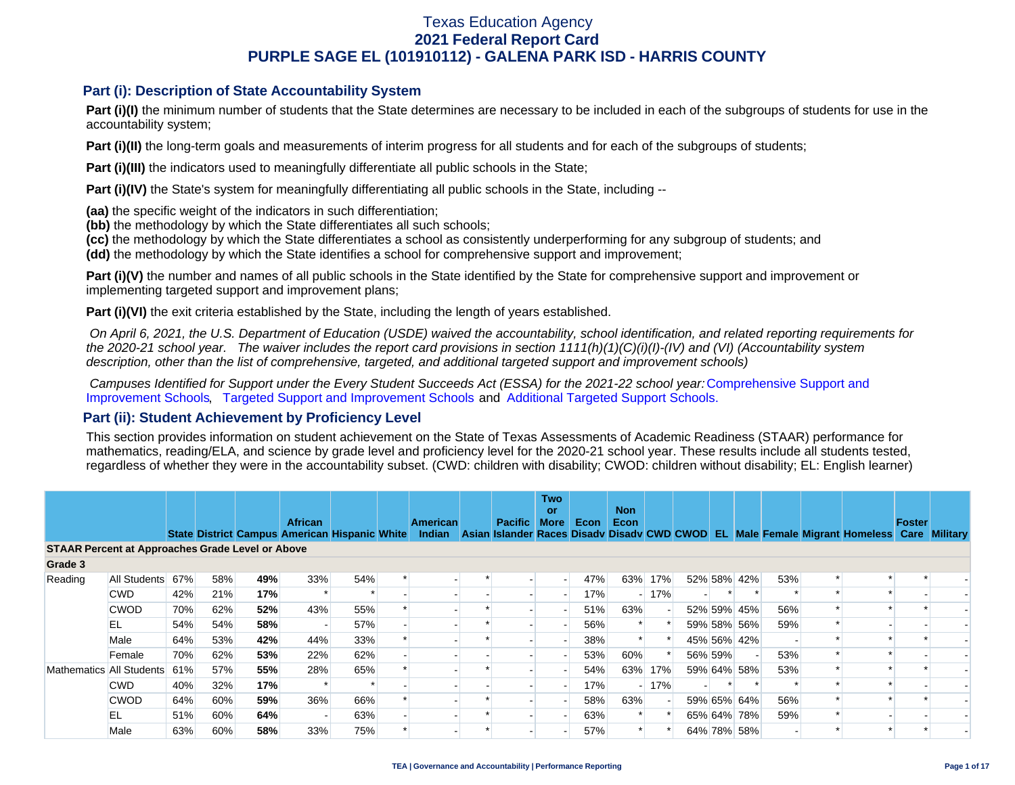### **Part (i): Description of State Accountability System**

Part (i)(I) the minimum number of students that the State determines are necessary to be included in each of the subgroups of students for use in the accountability system;

**Part (i)(II)** the long-term goals and measurements of interim progress for all students and for each of the subgroups of students;

**Part (i)(III)** the indicators used to meaningfully differentiate all public schools in the State;

**Part (i)(IV)** the State's system for meaningfully differentiating all public schools in the State, including --

**(aa)** the specific weight of the indicators in such differentiation;

**(bb)** the methodology by which the State differentiates all such schools;

**(cc)** the methodology by which the State differentiates a school as consistently underperforming for any subgroup of students; and

**(dd)** the methodology by which the State identifies a school for comprehensive support and improvement;

**Part (i)(V)** the number and names of all public schools in the State identified by the State for comprehensive support and improvement or implementing targeted support and improvement plans;

**Part (i)(VI)** the exit criteria established by the State, including the length of years established.

 *On April 6, 2021, the U.S. Department of Education (USDE) waived the accountability, school identification, and related reporting requirements for the 2020-21 school year. The waiver includes the report card provisions in section 1111(h)(1)(C)(i)(I)-(IV) and (VI) (Accountability system description, other than the list of comprehensive, targeted, and additional targeted support and improvement schools)* 

*Campuses Identified for Support under the Every Student Succeeds Act (ESSA) for the 2021-22 school year:* [Comprehensive Support and](https://tea.texas.gov/sites/default/files/comprehensive_support_2021.xlsx) [Improvement Schools](https://tea.texas.gov/sites/default/files/comprehensive_support_2021.xlsx), [Targeted Support and Improvement Schools](https://tea.texas.gov/sites/default/files/targeted_support_2021.xlsx) and [Additional Targeted Support Schools.](https://tea.texas.gov/sites/default/files/additional_targeted_support_2021.xlsx)

### **Part (ii): Student Achievement by Proficiency Level**

This section provides information on student achievement on the State of Texas Assessments of Academic Readiness (STAAR) performance for mathematics, reading/ELA, and science by grade level and proficiency level for the 2020-21 school year. These results include all students tested, regardless of whether they were in the accountability subset. (CWD: children with disability; CWOD: children without disability; EL: English learner)

|                                                         |              |     |     |     | <b>African</b>                                |     | <b>American</b> | <b>Pacific</b> | <b>Two</b><br>or<br><b>More</b> | Econ | <b>Non</b><br>Econ |        |         |             |     |                                                                                                  | Foster |  |
|---------------------------------------------------------|--------------|-----|-----|-----|-----------------------------------------------|-----|-----------------|----------------|---------------------------------|------|--------------------|--------|---------|-------------|-----|--------------------------------------------------------------------------------------------------|--------|--|
|                                                         |              |     |     |     | State District Campus American Hispanic White |     |                 |                |                                 |      |                    |        |         |             |     | Indian Asian Islander Races Disady Disady CWD CWOD EL Male Female Migrant Homeless Care Military |        |  |
| <b>STAAR Percent at Approaches Grade Level or Above</b> |              |     |     |     |                                               |     |                 |                |                                 |      |                    |        |         |             |     |                                                                                                  |        |  |
| Grade 3                                                 |              |     |     |     |                                               |     |                 |                |                                 |      |                    |        |         |             |     |                                                                                                  |        |  |
| Reading                                                 | All Students | 67% | 58% | 49% | 33%                                           | 54% |                 |                |                                 | 47%  | 63%                | 17%    |         | 52% 58% 42% | 53% |                                                                                                  |        |  |
|                                                         | <b>CWD</b>   | 42% | 21% | 17% |                                               |     |                 |                |                                 | 17%  |                    | $-17%$ |         |             |     |                                                                                                  |        |  |
|                                                         | <b>CWOD</b>  | 70% | 62% | 52% | 43%                                           | 55% |                 |                |                                 | 51%  | 63%                |        |         | 52% 59% 45% | 56% |                                                                                                  |        |  |
|                                                         | EL           | 54% | 54% | 58% |                                               | 57% |                 |                |                                 | 56%  |                    |        |         | 59% 58% 56% | 59% |                                                                                                  |        |  |
|                                                         | Male         | 64% | 53% | 42% | 44%                                           | 33% |                 |                |                                 | 38%  |                    |        |         | 45% 56% 42% |     |                                                                                                  |        |  |
|                                                         | Female       | 70% | 62% | 53% | 22%                                           | 62% |                 |                |                                 | 53%  | 60%                |        | 56% 59% |             | 53% |                                                                                                  |        |  |
| Mathematics All Students                                |              | 61% | 57% | 55% | 28%                                           | 65% |                 |                |                                 | 54%  | 63%                | 17%    |         | 59% 64% 58% | 53% |                                                                                                  |        |  |
|                                                         | <b>CWD</b>   | 40% | 32% | 17% |                                               |     |                 |                |                                 | 17%  |                    | $-17%$ |         |             |     |                                                                                                  |        |  |
|                                                         | <b>CWOD</b>  | 64% | 60% | 59% | 36%                                           | 66% |                 |                |                                 | 58%  | 63%                |        |         | 59% 65% 64% | 56% |                                                                                                  |        |  |
|                                                         | EL           | 51% | 60% | 64% |                                               | 63% |                 |                |                                 | 63%  |                    |        |         | 65% 64% 78% | 59% |                                                                                                  |        |  |
|                                                         | Male         | 63% | 60% | 58% | 33%                                           | 75% |                 |                |                                 | 57%  |                    |        |         | 64% 78% 58% |     |                                                                                                  |        |  |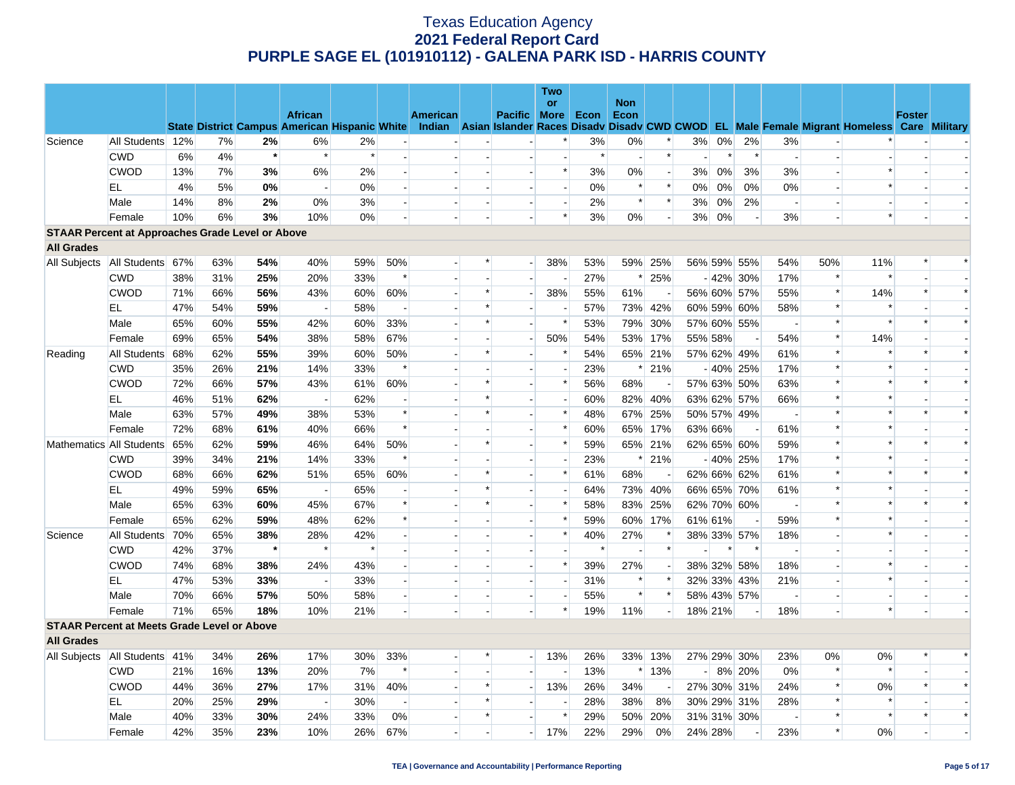|                                                         |                                   |     |     |         |                          |                                                      |                          |          |                          |                          | Two                      |        |            |                          |      |         |             |                          |        |                                                                                                  |               |        |
|---------------------------------------------------------|-----------------------------------|-----|-----|---------|--------------------------|------------------------------------------------------|--------------------------|----------|--------------------------|--------------------------|--------------------------|--------|------------|--------------------------|------|---------|-------------|--------------------------|--------|--------------------------------------------------------------------------------------------------|---------------|--------|
|                                                         |                                   |     |     |         |                          |                                                      |                          |          |                          |                          | or                       |        | <b>Non</b> |                          |      |         |             |                          |        |                                                                                                  |               |        |
|                                                         |                                   |     |     |         | <b>African</b>           | <b>State District Campus American Hispanic White</b> |                          | American |                          | Pacific More             |                          | Econ   | Econ       |                          |      |         |             |                          |        | Indian Asian Islander Races Disady Disady CWD CWOD EL Male Female Migrant Homeless Care Military | <b>Foster</b> |        |
| Science                                                 | All Students 12%                  |     | 7%  | 2%      | 6%                       | 2%                                                   |                          |          |                          |                          | *                        | 3%     | $0\%$      | $\ast$                   | 3%   | $0\%$   | 2%          | 3%                       |        |                                                                                                  |               |        |
|                                                         | <b>CWD</b>                        | 6%  | 4%  | $\star$ | $\ast$                   | $\ast$                                               |                          |          |                          |                          |                          | $\ast$ |            | $\ast$                   |      | $\ast$  | $\ast$      | $\sim$                   |        |                                                                                                  |               |        |
|                                                         | <b>CWOD</b>                       | 13% | 7%  | 3%      | 6%                       | 2%                                                   | $\overline{\phantom{a}}$ |          |                          | $\blacksquare$           | $\ast$                   | 3%     | $0\%$      | $\overline{\phantom{a}}$ | 3%   | $0\%$   | 3%          | 3%                       |        | $\ast$                                                                                           |               |        |
|                                                         | EL                                | 4%  | 5%  | 0%      | $\sim$                   | $0\%$                                                |                          |          |                          |                          | $\overline{\phantom{a}}$ | 0%     | $\ast$     | $\ast$                   | 0%   | $0\%$   | 0%          | 0%                       |        | $\ast$                                                                                           |               |        |
|                                                         | Male                              | 14% | 8%  | 2%      | 0%                       | 3%                                                   |                          |          | $\blacksquare$           | $\blacksquare$           | $\blacksquare$           | 2%     | $\ast$     | $\ast$                   | 3%   | $0\%$   | 2%          | $\sim$                   |        |                                                                                                  |               |        |
|                                                         | Female                            | 10% | 6%  | 3%      | 10%                      | $0\%$                                                |                          |          |                          |                          | $\ast$                   | 3%     | 0%         | $\overline{a}$           | 3%   | 0%      |             | 3%                       |        | $\ast$                                                                                           |               |        |
| <b>STAAR Percent at Approaches Grade Level or Above</b> |                                   |     |     |         |                          |                                                      |                          |          |                          |                          |                          |        |            |                          |      |         |             |                          |        |                                                                                                  |               |        |
| <b>All Grades</b>                                       |                                   |     |     |         |                          |                                                      |                          |          |                          |                          |                          |        |            |                          |      |         |             |                          |        |                                                                                                  |               |        |
| All Subjects                                            | All Students 67%                  |     | 63% | 54%     | 40%                      | 59%                                                  | 50%                      |          | $\ast$                   | $\overline{\phantom{a}}$ | 38%                      | 53%    |            | 59% 25%                  |      |         | 56% 59% 55% | 54%                      | 50%    | 11%                                                                                              | $\ast$        | $\ast$ |
|                                                         | <b>CWD</b>                        | 38% | 31% | 25%     | 20%                      | 33%                                                  |                          |          | $\overline{\phantom{a}}$ |                          |                          | 27%    | $\ast$     | 25%                      |      |         | $-42\%$ 30% | 17%                      | $\ast$ |                                                                                                  |               |        |
|                                                         | <b>CWOD</b>                       | 71% | 66% | 56%     | 43%                      | 60%                                                  | 60%                      |          | $\ast$                   | $\blacksquare$           | 38%                      | 55%    | 61%        |                          |      |         | 56% 60% 57% | 55%                      | $\ast$ | 14%                                                                                              | $\ast$        | $\ast$ |
|                                                         | <b>EL</b>                         | 47% | 54% | 59%     | $\overline{\phantom{a}}$ | 58%                                                  |                          |          | $\ast$                   | $\overline{\phantom{a}}$ |                          | 57%    |            | 73% 42%                  |      |         | 60% 59% 60% | 58%                      | $\ast$ |                                                                                                  |               |        |
|                                                         | Male                              | 65% | 60% | 55%     | 42%                      | 60%                                                  | 33%                      |          | $\ast$                   | $\overline{a}$           | $\ast$                   | 53%    |            | 79% 30%                  |      |         | 57% 60% 55% | $\sim$                   | $\ast$ | $\ast$                                                                                           | $\ast$        | $\ast$ |
|                                                         | Female                            | 69% | 65% | 54%     | 38%                      | 58%                                                  | 67%                      |          |                          | $\blacksquare$           | 50%                      | 54%    |            | 53% 17%                  |      | 55% 58% |             | 54%                      | $\ast$ | 14%                                                                                              |               |        |
| Reading                                                 | All Students                      | 68% | 62% | 55%     | 39%                      | 60%                                                  | 50%                      |          | $\ast$                   | $\blacksquare$           | $\ast$                   | 54%    |            | 65% 21%                  |      |         | 57% 62% 49% | 61%                      | $\ast$ | $\ast$                                                                                           | $\ast$        | $\ast$ |
|                                                         | <b>CWD</b>                        | 35% | 26% | 21%     | 14%                      | 33%                                                  | $\ast$                   |          |                          |                          |                          | 23%    | $\ast$     | 21%                      |      |         | $-40\%$ 25% | 17%                      | $\ast$ | $\ast$                                                                                           |               |        |
|                                                         | <b>CWOD</b>                       | 72% | 66% | 57%     | 43%                      | 61%                                                  | 60%                      |          | $\ast$                   | $\blacksquare$           | $\ast$                   | 56%    | 68%        |                          |      |         | 57% 63% 50% | 63%                      | $\ast$ | $\ast$                                                                                           | $\ast$        | $\ast$ |
|                                                         | EL                                | 46% | 51% | 62%     |                          | 62%                                                  |                          |          | $\ast$                   |                          |                          | 60%    |            | 82% 40%                  |      |         | 63% 62% 57% | 66%                      | $\ast$ | $\ast$                                                                                           |               |        |
|                                                         | Male                              | 63% | 57% | 49%     | 38%                      | 53%                                                  | $\ast$                   |          | $\ast$                   | $\overline{\phantom{a}}$ | $\ast$                   | 48%    | 67%        | 25%                      |      |         | 50% 57% 49% | $\overline{\phantom{a}}$ | $\ast$ |                                                                                                  | $\ast$        | $\ast$ |
|                                                         | Female                            | 72% | 68% | 61%     | 40%                      | 66%                                                  | $\ast$                   |          |                          |                          | $\ast$                   | 60%    |            | 65% 17%                  |      | 63% 66% |             | 61%                      | $\ast$ |                                                                                                  |               |        |
|                                                         | Mathematics All Students          | 65% | 62% | 59%     | 46%                      | 64%                                                  | 50%                      |          | *                        | $\overline{\phantom{a}}$ | *                        | 59%    |            | 65% 21%                  |      |         | 62% 65% 60% | 59%                      | $\ast$ |                                                                                                  | $\ast$        | $\ast$ |
|                                                         | <b>CWD</b>                        | 39% | 34% | 21%     | 14%                      | 33%                                                  | $\ast$                   |          |                          | $\overline{a}$           | $\overline{a}$           | 23%    | $\ast$     | 21%                      |      |         | $-40\%$ 25% | 17%                      | $\ast$ | $\ast$                                                                                           |               |        |
|                                                         | <b>CWOD</b>                       | 68% | 66% | 62%     | 51%                      | 65%                                                  | 60%                      |          | $\ast$                   |                          | $\ast$                   | 61%    | 68%        |                          |      |         | 62% 66% 62% | 61%                      | $\ast$ | $\ast$                                                                                           | $\ast$        | $\ast$ |
|                                                         | EL                                | 49% | 59% | 65%     | $\sim$                   | 65%                                                  |                          |          | $\ast$                   | $\overline{a}$           |                          | 64%    |            | 73% 40%                  |      |         | 66% 65% 70% | 61%                      | $\ast$ | $\ast$                                                                                           |               |        |
|                                                         | Male                              | 65% | 63% | 60%     | 45%                      | 67%                                                  | $\ast$                   |          | $\ast$                   |                          | $\ast$                   | 58%    |            | 83% 25%                  |      |         | 62% 70% 60% |                          | $\ast$ | $\ast$                                                                                           | $\ast$        | $\ast$ |
|                                                         | Female                            | 65% | 62% | 59%     | 48%                      | 62%                                                  |                          |          |                          | $\blacksquare$           | $\ast$                   | 59%    |            | 60% 17%                  |      | 61% 61% |             | 59%                      | $\ast$ | $\ast$                                                                                           |               |        |
| Science                                                 | All Students                      | 70% | 65% | 38%     | 28%                      | 42%                                                  |                          |          |                          |                          | *                        | 40%    | 27%        |                          |      |         | 38% 33% 57% | 18%                      |        | $\ast$                                                                                           |               |        |
|                                                         | <b>CWD</b>                        | 42% | 37% | $\star$ | $\ast$                   | $\ast$                                               |                          |          |                          |                          |                          | $\ast$ |            |                          |      |         |             |                          |        |                                                                                                  |               |        |
|                                                         | <b>CWOD</b>                       | 74% | 68% | 38%     | 24%                      | 43%                                                  |                          |          |                          | $\overline{a}$           | $\ast$                   | 39%    | 27%        |                          |      |         | 38% 32% 58% | 18%                      |        | $\ast$                                                                                           |               |        |
|                                                         | EL                                | 47% | 53% | 33%     | $\overline{\phantom{a}}$ | 33%                                                  |                          |          |                          | $\blacksquare$           | $\blacksquare$           | 31%    | $\ast$     | $\ast$                   |      |         | 32% 33% 43% | 21%                      |        | $\ast$                                                                                           |               |        |
|                                                         | Male                              | 70% | 66% | 57%     | 50%                      | 58%                                                  |                          |          | $\overline{\phantom{a}}$ | $\blacksquare$           |                          | 55%    | $\ast$     | $\ast$                   |      |         | 58% 43% 57% |                          |        |                                                                                                  |               |        |
|                                                         | Female                            | 71% | 65% | 18%     | 10%                      | 21%                                                  |                          |          |                          |                          | *                        | 19%    | 11%        |                          |      | 18% 21% |             | 18%                      |        | $\ast$                                                                                           |               |        |
| <b>STAAR Percent at Meets Grade Level or Above</b>      |                                   |     |     |         |                          |                                                      |                          |          |                          |                          |                          |        |            |                          |      |         |             |                          |        |                                                                                                  |               |        |
| <b>All Grades</b>                                       |                                   |     |     |         |                          |                                                      |                          |          |                          |                          |                          |        |            |                          |      |         |             |                          |        |                                                                                                  |               |        |
|                                                         | All Subjects   All Students   41% |     | 34% | 26%     | 17%                      | 30%                                                  | 33%                      |          |                          | $\overline{a}$           | 13%                      | 26%    |            | 33% 13%                  |      |         | 27% 29% 30% | 23%                      | 0%     | 0%                                                                                               |               |        |
|                                                         | <b>CWD</b>                        | 21% | 16% | 13%     | 20%                      | 7%                                                   | $\ast$                   |          |                          |                          | $\blacksquare$           | 13%    |            | $*13%$                   | $-1$ |         | 8% 20%      | 0%                       | $\ast$ | $\ast$                                                                                           |               |        |
|                                                         | <b>CWOD</b>                       | 44% | 36% | 27%     | 17%                      | 31%                                                  | 40%                      |          | $\ast$                   | $\overline{a}$           | 13%                      | 26%    | 34%        |                          |      |         | 27% 30% 31% | 24%                      | $\ast$ | 0%                                                                                               | $\ast$        | $\ast$ |
|                                                         | EL                                | 20% | 25% | 29%     | $\overline{\phantom{a}}$ | 30%                                                  | $\overline{\phantom{a}}$ |          | $\ast$                   |                          |                          | 28%    | 38%        | 8%                       |      |         | 30% 29% 31% | 28%                      | $\ast$ | $\ast$                                                                                           |               |        |
|                                                         | Male                              | 40% | 33% | 30%     | 24%                      | 33%                                                  | 0%                       |          | $\ast$                   |                          | $\ast$                   | 29%    |            | 50% 20%                  |      |         | 31% 31% 30% |                          | $\ast$ | $\ast$                                                                                           | $\ast$        | $\ast$ |
|                                                         | Female                            | 42% | 35% | 23%     | 10%                      | 26%                                                  | 67%                      |          |                          | $\overline{\phantom{a}}$ | 17%                      | 22%    | 29%        | 0%                       |      | 24% 28% |             | 23%                      | $\ast$ | 0%                                                                                               |               |        |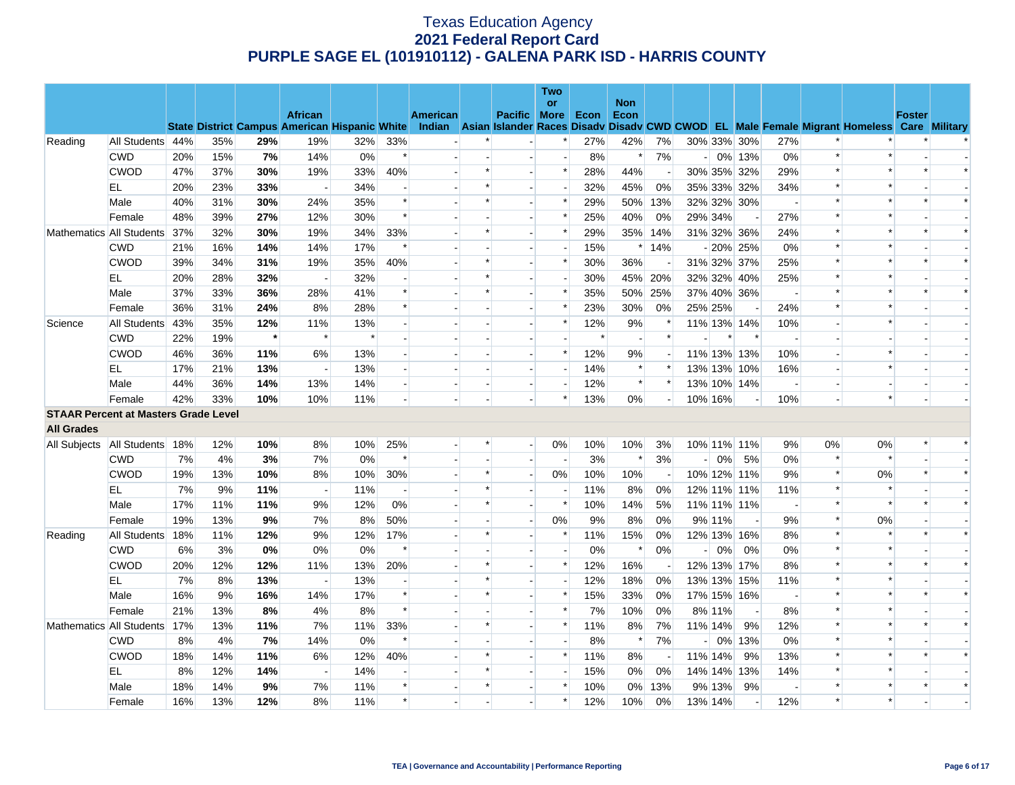|                                             |                          |     |     |         |                                                      |        |                           |          |         |                          | Two                      |        |                          |         |                |         |                          |                          |                |                                                                                                  |               |        |
|---------------------------------------------|--------------------------|-----|-----|---------|------------------------------------------------------|--------|---------------------------|----------|---------|--------------------------|--------------------------|--------|--------------------------|---------|----------------|---------|--------------------------|--------------------------|----------------|--------------------------------------------------------------------------------------------------|---------------|--------|
|                                             |                          |     |     |         | <b>African</b>                                       |        |                           | American |         | Pacific More             | <b>or</b>                | Econ   | <b>Non</b><br>Econ       |         |                |         |                          |                          |                |                                                                                                  | <b>Foster</b> |        |
|                                             |                          |     |     |         | <b>State District Campus American Hispanic White</b> |        |                           |          |         |                          |                          |        |                          |         |                |         |                          |                          |                | Indian Asian Islander Races Disady Disady CWD CWOD EL Male Female Migrant Homeless Care Military |               |        |
| Reading                                     | All Students 44%         |     | 35% | 29%     | 19%                                                  | 32%    | 33%                       |          |         |                          | $\ast$                   | 27%    | 42%                      | 7%      |                |         | 30% 33% 30%              | 27%                      |                |                                                                                                  |               |        |
|                                             | <b>CWD</b>               | 20% | 15% | 7%      | 14%                                                  | $0\%$  | $\ast$                    |          |         | $\blacksquare$           | $\overline{\phantom{a}}$ | 8%     | $\ast$                   | 7%      |                |         | $-0\%$ 13%               | 0%                       | $\ast$         |                                                                                                  |               |        |
|                                             | <b>CWOD</b>              | 47% | 37% | 30%     | 19%                                                  | 33%    | 40%                       |          | $\ast$  |                          | $\ast$                   | 28%    | 44%                      |         |                |         | 30% 35% 32%              | 29%                      | $\ast$         |                                                                                                  |               |        |
|                                             | EL                       | 20% | 23% | 33%     | $\overline{a}$                                       | 34%    | $\overline{\phantom{a}}$  |          | $\ast$  | $\overline{\phantom{a}}$ | $\overline{\phantom{a}}$ | 32%    | 45%                      | 0%      |                |         | 35% 33% 32%              | 34%                      | $\ast$         | $\ast$                                                                                           |               |        |
|                                             | Male                     | 40% | 31% | 30%     | 24%                                                  | 35%    | $\ast$                    |          | $\ast$  |                          | $\ast$                   | 29%    | 50%                      | 13%     |                |         | 32% 32% 30%              |                          | $\ast$         |                                                                                                  |               | $\ast$ |
|                                             | Female                   | 48% | 39% | 27%     | 12%                                                  | 30%    | $\ast$                    |          |         | $\overline{a}$           | $\ast$                   | 25%    | 40%                      | 0%      |                | 29% 34% |                          | 27%                      | $\ast$         | $\ast$                                                                                           |               |        |
| Mathematics All Students                    |                          | 37% | 32% | 30%     | 19%                                                  | 34%    | 33%                       |          | $\ast$  |                          | $\ast$                   | 29%    | 35%                      | 14%     |                |         | 31% 32% 36%              | 24%                      | $\ast$         |                                                                                                  |               | $\ast$ |
|                                             | <b>CWD</b>               | 21% | 16% | 14%     | 14%                                                  | 17%    | $\ast$                    |          |         |                          |                          | 15%    |                          | $*14%$  |                |         | $-20\%$ 25%              | 0%                       | $\ast$         |                                                                                                  |               |        |
|                                             | <b>CWOD</b>              | 39% | 34% | 31%     | 19%                                                  | 35%    | 40%                       |          | $\ast$  | $\overline{a}$           | *                        | 30%    | 36%                      |         |                |         | 31% 32% 37%              | 25%                      | $\ast$         |                                                                                                  | $\ast$        | $\ast$ |
|                                             | EL                       | 20% | 28% | 32%     |                                                      | 32%    |                           |          | $\ast$  |                          | $\overline{a}$           | 30%    |                          | 45% 20% |                |         | 32% 32% 40%              | 25%                      | $\ast$         |                                                                                                  |               |        |
|                                             | Male                     | 37% | 33% | 36%     | 28%                                                  | 41%    | $\ast$                    |          | $\ast$  | $\overline{a}$           | $\ast$                   | 35%    | 50%                      | 25%     |                |         | 37% 40% 36%              | $\sim$                   | $\pmb{\ast}$   |                                                                                                  | $\ast$        | $\ast$ |
|                                             | Female                   | 36% | 31% | 24%     | 8%                                                   | 28%    | $\ast$                    |          |         | $\overline{\phantom{a}}$ | $\ast$                   | 23%    | 30%                      | 0%      |                | 25% 25% |                          | 24%                      | $\ast$         |                                                                                                  |               |        |
| Science                                     | All Students             | 43% | 35% | 12%     | 11%                                                  | 13%    |                           |          |         |                          | $\ast$                   | 12%    | 9%                       |         |                |         | 11% 13% 14%              | 10%                      |                |                                                                                                  |               |        |
|                                             | <b>CWD</b>               | 22% | 19% | $\star$ | $\ast$                                               | $\ast$ | $\overline{a}$            |          |         | $\overline{a}$           | $\overline{a}$           | $\ast$ | $\overline{\phantom{a}}$ | $\ast$  |                | *       | $\ast$                   | $\sim$                   | $\overline{a}$ |                                                                                                  |               |        |
|                                             | <b>CWOD</b>              | 46% | 36% | 11%     | 6%                                                   | 13%    |                           |          |         |                          | $\ast$                   | 12%    | 9%                       |         |                |         | 11% 13% 13%              | 10%                      |                |                                                                                                  |               |        |
|                                             | EL                       | 17% | 21% | 13%     | $\sim$                                               | 13%    | $\mathbf{u}^{\mathrm{c}}$ |          |         | $\overline{a}$           | $\overline{a}$           | 14%    | $\ast$                   | $\ast$  |                |         | 13% 13% 10%              | 16%                      |                | $\ast$                                                                                           |               |        |
|                                             | Male                     | 44% | 36% | 14%     | 13%                                                  | 14%    | $\overline{\phantom{a}}$  |          |         | $\overline{\phantom{a}}$ | $\blacksquare$           | 12%    | $\ast$                   | $\ast$  |                |         | 13% 10% 14%              | $\overline{\phantom{a}}$ |                |                                                                                                  |               |        |
|                                             | Female                   | 42% | 33% | 10%     | 10%                                                  | 11%    |                           |          |         |                          | $\ast$                   | 13%    | $0\%$                    |         |                | 10% 16% |                          | 10%                      |                |                                                                                                  |               |        |
| <b>STAAR Percent at Masters Grade Level</b> |                          |     |     |         |                                                      |        |                           |          |         |                          |                          |        |                          |         |                |         |                          |                          |                |                                                                                                  |               |        |
| <b>All Grades</b>                           |                          |     |     |         |                                                      |        |                           |          |         |                          |                          |        |                          |         |                |         |                          |                          |                |                                                                                                  |               |        |
| All Subjects   All Students   18%           |                          |     | 12% | 10%     | 8%                                                   | 10%    | 25%                       |          | ∗       | $\overline{\phantom{a}}$ | 0%                       | 10%    | 10%                      | 3%      |                |         | 10% 11% 11%              | 9%                       | 0%             | 0%                                                                                               | $\ast$        | $\ast$ |
|                                             | <b>CWD</b>               | 7%  | 4%  | 3%      | 7%                                                   | 0%     | $\ast$                    |          |         | $\blacksquare$           | $\overline{\phantom{a}}$ | 3%     | $\ast$                   | 3%      | $\overline{a}$ | 0%      | 5%                       | 0%                       | $\ast$         |                                                                                                  |               |        |
|                                             | <b>CWOD</b>              | 19% | 13% | 10%     | 8%                                                   | 10%    | 30%                       |          | $\ast$  |                          | 0%                       | 10%    | 10%                      |         |                |         | 10% 12% 11%              | 9%                       | $\ast$         | 0%                                                                                               | $\ast$        | $\ast$ |
|                                             | EL                       | 7%  | 9%  | 11%     | $\overline{\phantom{0}}$                             | 11%    | $\overline{\phantom{a}}$  |          | $\ast$  | $\blacksquare$           | $\blacksquare$           | 11%    | 8%                       | 0%      |                |         | 12% 11% 11%              | 11%                      | $\ast$         | ∗                                                                                                |               |        |
|                                             | Male                     | 17% | 11% | 11%     | 9%                                                   | 12%    | 0%                        |          | $\ast$  |                          | $\ast$                   | 10%    | 14%                      | 5%      |                |         | 11% 11% 11%              |                          | $\ast$         | $\ast$                                                                                           |               | $\ast$ |
|                                             | Female                   | 19% | 13% | 9%      | 7%                                                   | 8%     | 50%                       |          |         | $\overline{a}$           | 0%                       | 9%     | 8%                       | 0%      |                | 9% 11%  |                          | 9%                       | $\pmb{\ast}$   | 0%                                                                                               |               |        |
| Reading                                     | All Students             | 18% | 11% | 12%     | 9%                                                   | 12%    | 17%                       |          | $\ast$  | $\blacksquare$           | $\ast$                   | 11%    | 15%                      | 0%      |                |         | 12% 13% 16%              | 8%                       | $\ast$         |                                                                                                  |               |        |
|                                             | <b>CWD</b>               | 6%  | 3%  | 0%      | 0%                                                   | $0\%$  | $\ast$                    |          |         |                          |                          | 0%     | $\ast$                   | 0%      | -1             | 0%      | 0%                       | 0%                       | $\ast$         |                                                                                                  |               |        |
|                                             | <b>CWOD</b>              | 20% | 12% | 12%     | 11%                                                  | 13%    | 20%                       |          | $\ast$  | $\overline{a}$           | $\ast$                   | 12%    | 16%                      | $\sim$  |                |         | 12% 13% 17%              | 8%                       | $\ast$         |                                                                                                  | $\ast$        | $\ast$ |
|                                             | EL                       | 7%  | 8%  | 13%     |                                                      | 13%    |                           |          | $\star$ |                          |                          | 12%    | 18%                      | 0%      |                |         | 13% 13% 15%              | 11%                      | $\ast$         |                                                                                                  |               |        |
|                                             | Male                     | 16% | 9%  | 16%     | 14%                                                  | 17%    | $\ast$                    |          | $\ast$  |                          | $\ast$                   | 15%    | 33%                      | 0%      |                |         | 17% 15% 16%              | $\overline{\phantom{a}}$ | $\pmb{\ast}$   |                                                                                                  | $\ast$        | $\ast$ |
|                                             | Female                   | 21% | 13% | 8%      | 4%                                                   | 8%     | $\ast$                    |          |         | $\blacksquare$           | $\ast$                   | 7%     | 10%                      | 0%      |                | 8% 11%  |                          | 8%                       | $\ast$         |                                                                                                  |               |        |
|                                             | Mathematics All Students | 17% | 13% | 11%     | 7%                                                   | 11%    | 33%                       |          | $\ast$  |                          | $\ast$                   | 11%    | 8%                       | 7%      |                | 11% 14% | 9%                       | 12%                      | $\ast$         |                                                                                                  |               | $\ast$ |
|                                             | <b>CWD</b>               | 8%  | 4%  | 7%      | 14%                                                  | $0\%$  | $\ast$                    |          |         |                          | $\overline{\phantom{a}}$ | 8%     | $\ast$                   | 7%      |                |         | 0% 13%                   | 0%                       | $\ast$         | $\ast$                                                                                           |               |        |
|                                             | <b>CWOD</b>              | 18% | 14% | 11%     | 6%                                                   | 12%    | 40%                       |          | $\ast$  |                          | $\ast$                   | 11%    | 8%                       |         |                | 11% 14% | 9%                       | 13%                      | $\ast$         |                                                                                                  |               | $\ast$ |
|                                             | EL                       | 8%  | 12% | 14%     | $\overline{\phantom{a}}$                             | 14%    |                           |          | $\ast$  |                          | $\overline{\phantom{a}}$ | 15%    | 0%                       | 0%      |                |         | 14% 14% 13%              | 14%                      | $\ast$         |                                                                                                  |               |        |
|                                             | Male                     | 18% | 14% | 9%      | 7%                                                   | 11%    | $\ast$                    |          | $\ast$  |                          | $\ast$                   | 10%    | 0%                       | 13%     |                | 9% 13%  | 9%                       | $\overline{\phantom{a}}$ | $\ast$         |                                                                                                  |               |        |
|                                             | Female                   | 16% | 13% | 12%     | 8%                                                   | 11%    | $\ast$                    |          |         |                          | *                        | 12%    | 10%                      | 0%      |                | 13% 14% | $\overline{\phantom{a}}$ | 12%                      | $\ast$         |                                                                                                  |               |        |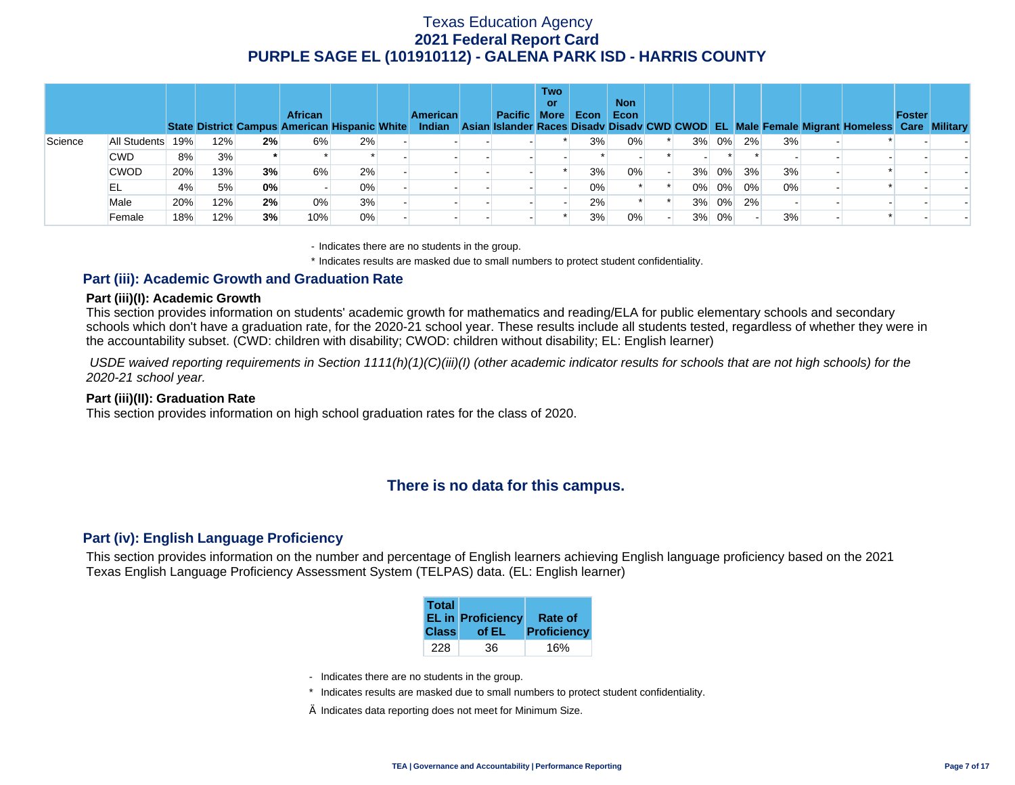|         |              |     |     |    | <b>African</b><br>State District Campus American Hispanic White |    | <b>American</b> | <b>Pacific More</b> | <b>Two</b><br>or | Econ  | <b>Non</b><br>Econ |       |       |    |    | Indian Asian Islander Races Disady Disady CWD CWOD EL Male Female Migrant Homeless Care Military | <b>Foster</b> |  |
|---------|--------------|-----|-----|----|-----------------------------------------------------------------|----|-----------------|---------------------|------------------|-------|--------------------|-------|-------|----|----|--------------------------------------------------------------------------------------------------|---------------|--|
| Science | All Students | 19% | 12% | 2% | 6%                                                              | 2% |                 |                     |                  | 3%    | 0%                 | 3%    | 0%    | 2% | 3% |                                                                                                  |               |  |
|         | <b>CWD</b>   | 8%  | 3%  |    |                                                                 |    |                 |                     |                  |       |                    |       |       |    |    |                                                                                                  |               |  |
|         | <b>CWOD</b>  | 20% | 13% | 3% | 6%                                                              | 2% |                 |                     |                  | 3%    | 0%                 | 3%    | 0%    | 3% | 3% |                                                                                                  |               |  |
|         | EL           | 4%  | 5%  | 0% |                                                                 | 0% |                 |                     |                  | $0\%$ |                    | $0\%$ | 0%    | 0% | 0% |                                                                                                  |               |  |
|         | Male         | 20% | 12% | 2% | $0\%$                                                           | 3% |                 |                     |                  | 2%    |                    |       | 3% 0% | 2% |    |                                                                                                  |               |  |
|         | Female       | 18% | 12% | 3% | 10%                                                             | 0% |                 |                     |                  | 3%    | 0%                 |       | 3% 0% |    | 3% |                                                                                                  |               |  |

- Indicates there are no students in the group.

\* Indicates results are masked due to small numbers to protect student confidentiality.

### **Part (iii): Academic Growth and Graduation Rate**

#### **Part (iii)(I): Academic Growth**

This section provides information on students' academic growth for mathematics and reading/ELA for public elementary schools and secondary schools which don't have a graduation rate, for the 2020-21 school year. These results include all students tested, regardless of whether they were in the accountability subset. (CWD: children with disability; CWOD: children without disability; EL: English learner)

 *USDE waived reporting requirements in Section 1111(h)(1)(C)(iii)(I) (other academic indicator results for schools that are not high schools) for the 2020-21 school year.* 

#### **Part (iii)(II): Graduation Rate**

This section provides information on high school graduation rates for the class of 2020.

### **There is no data for this campus.**

#### **Part (iv): English Language Proficiency**

This section provides information on the number and percentage of English learners achieving English language proficiency based on the 2021 Texas English Language Proficiency Assessment System (TELPAS) data. (EL: English learner)

| <b>Total</b><br><b>Class</b> | <b>EL in Proficiency</b><br>of EL | Rate of<br>Proficiency |
|------------------------------|-----------------------------------|------------------------|
|                              |                                   |                        |
| 228                          | 36                                | 16%                    |

- Indicates there are no students in the group.
- \* Indicates results are masked due to small numbers to protect student confidentiality.
- $\diamond$  Indicates data reporting does not meet for Minimum Size.